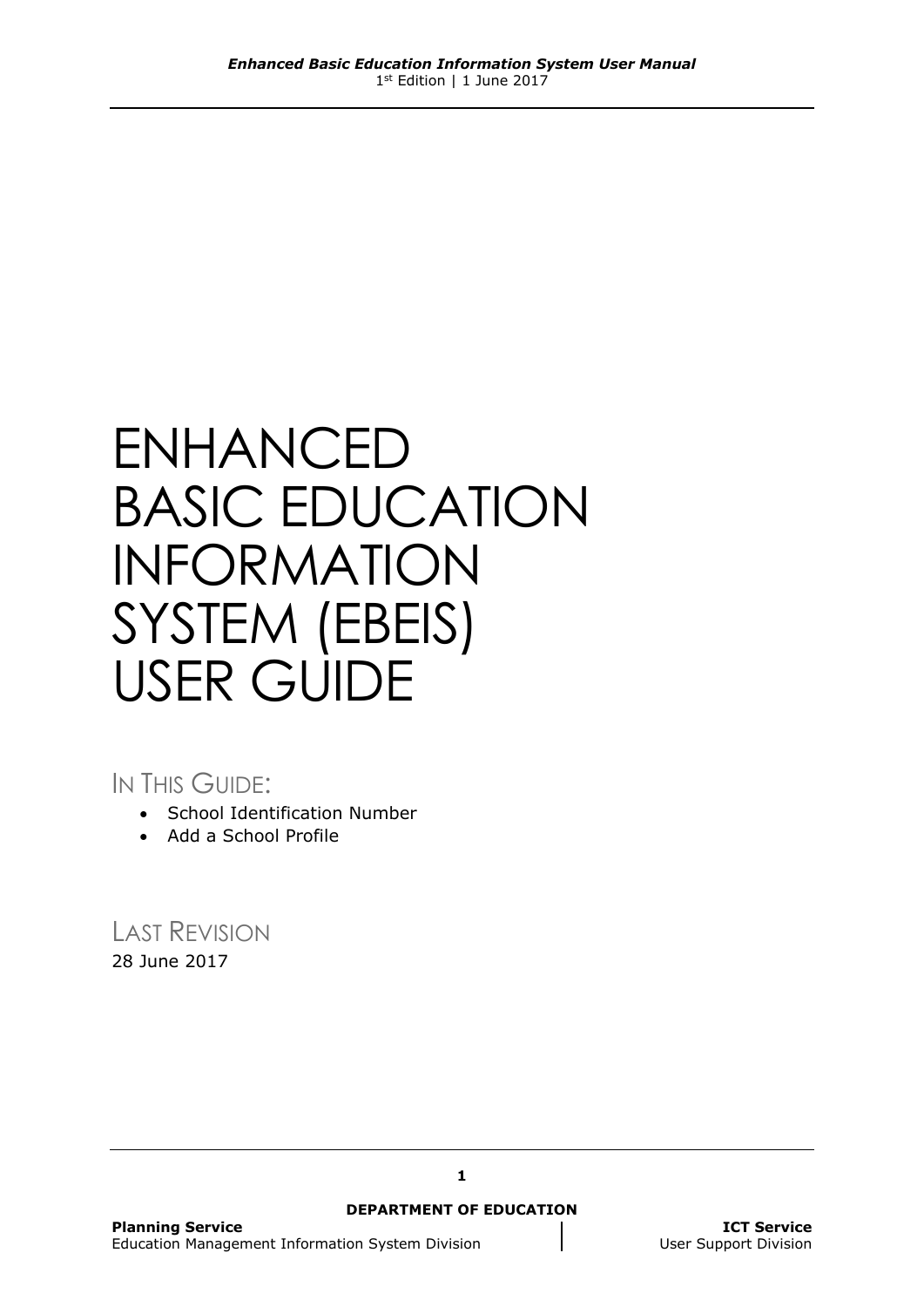# ENHANCED BASIC EDUCATION INFORMATION SYSTEM (EBEIS) USER GUIDE

## IN THIS GUIDE:

- School Identification Number
- Add a School Profile

LAST REVISION 28 June 2017

**1**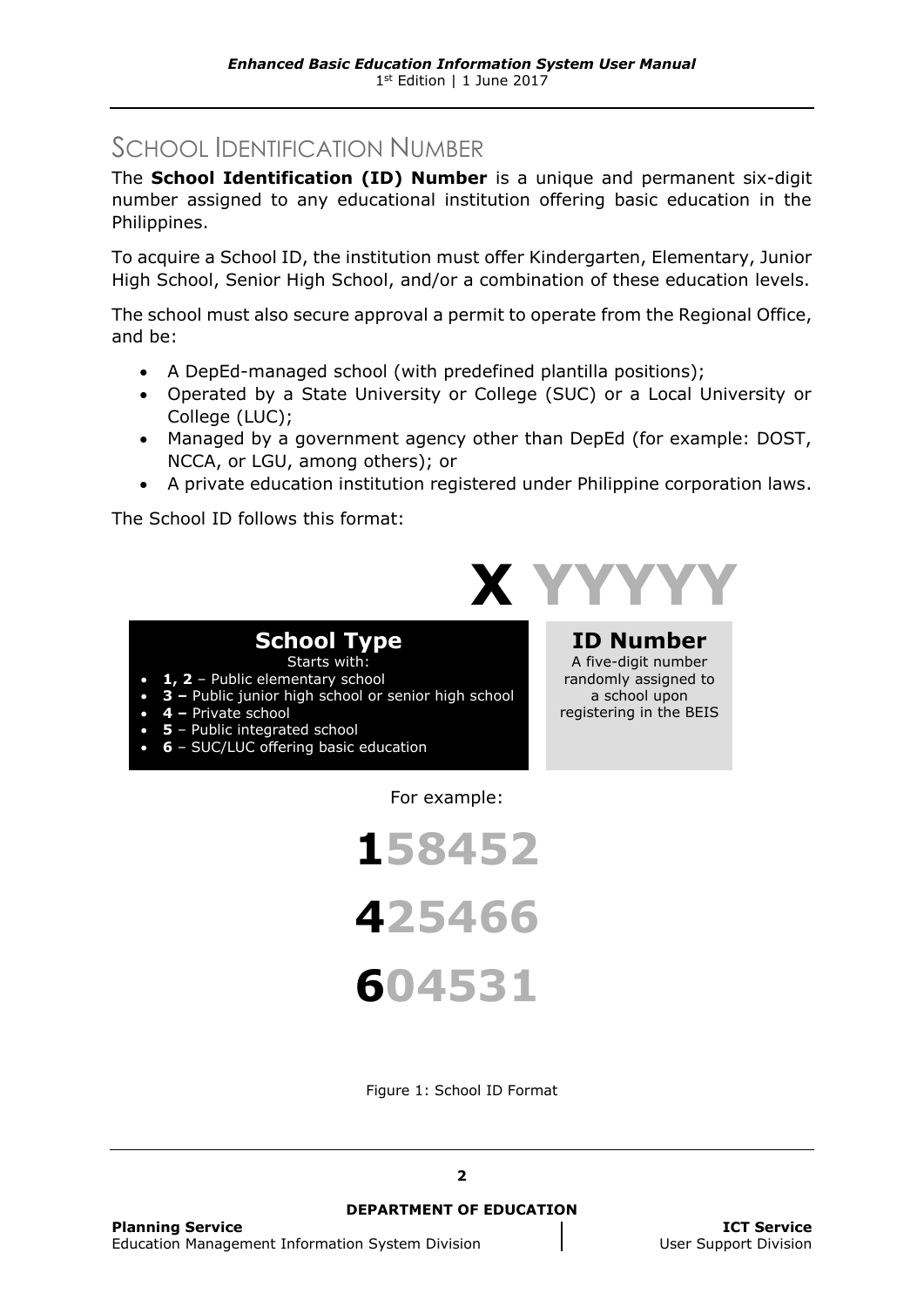## SCHOOL IDENTIFICATION NUMBER

The **School Identification (ID) Number** is a unique and permanent six-digit number assigned to any educational institution offering basic education in the Philippines.

To acquire a School ID, the institution must offer Kindergarten, Elementary, Junior High School, Senior High School, and/or a combination of these education levels.

The school must also secure approval a permit to operate from the Regional Office, and be:

- A DepEd-managed school (with predefined plantilla positions);
- Operated by a State University or College (SUC) or a Local University or College (LUC);
- Managed by a government agency other than DepEd (for example: DOST, NCCA, or LGU, among others); or
- A private education institution registered under Philippine corporation laws.

The School ID follows this format:



## **School Type**

- Starts with: **1, 2** – Public elementary school
- **3 –** Public junior high school or senior high school
- **4 –** Private school
- **5**  Public integrated school
- **6**  SUC/LUC offering basic education

**ID Number**

A five-digit number randomly assigned to a school upon registering in the BEIS

For example:

**158452 425466 604531**

Figure 1: School ID Format

**2**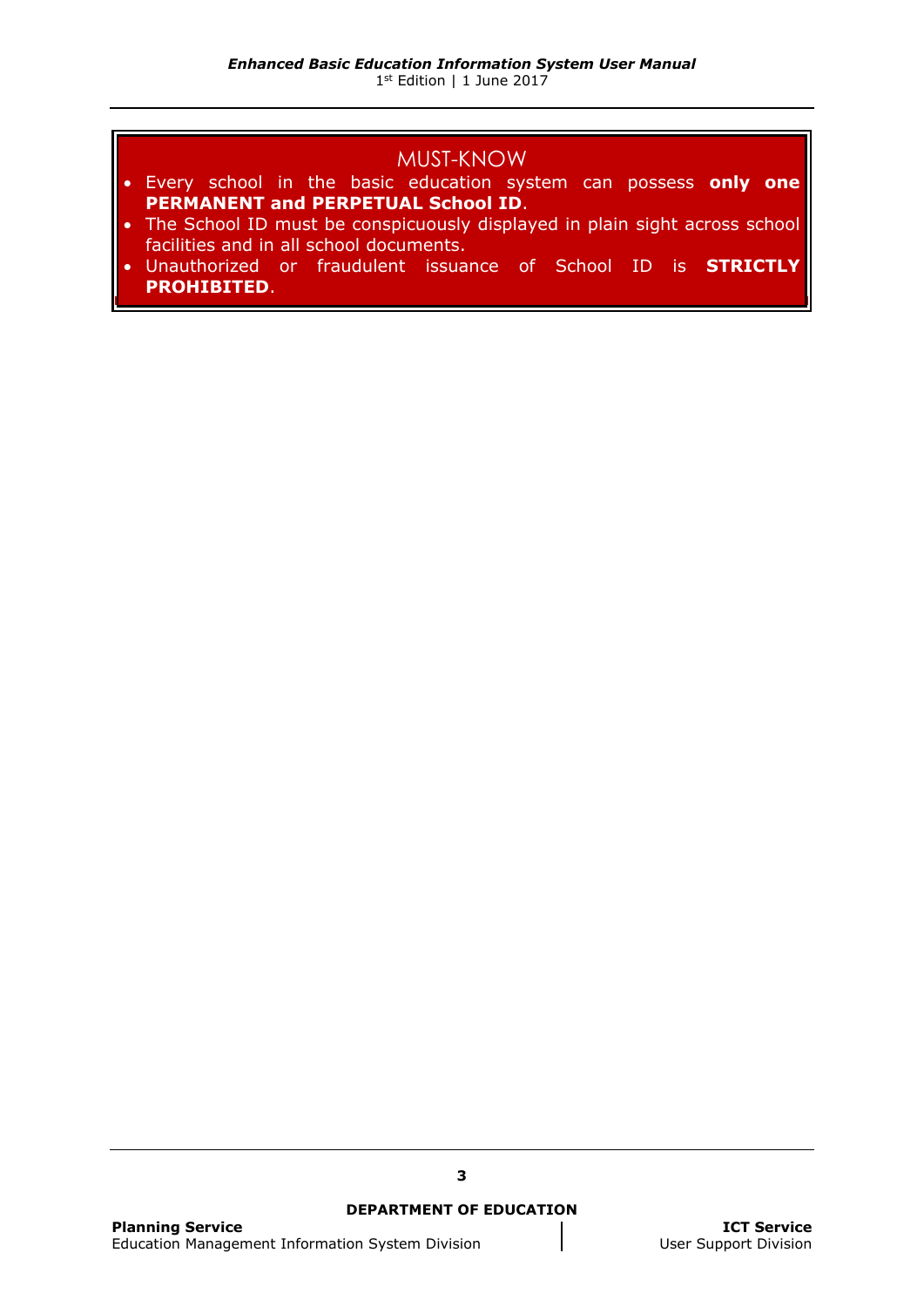#### MUST-KNOW

- Every school in the basic education system can possess **only one PERMANENT and PERPETUAL School ID**.
- The School ID must be conspicuously displayed in plain sight across school facilities and in all school documents.
- Unauthorized or fraudulent issuance of School ID is **STRICTLY PROHIBITED**.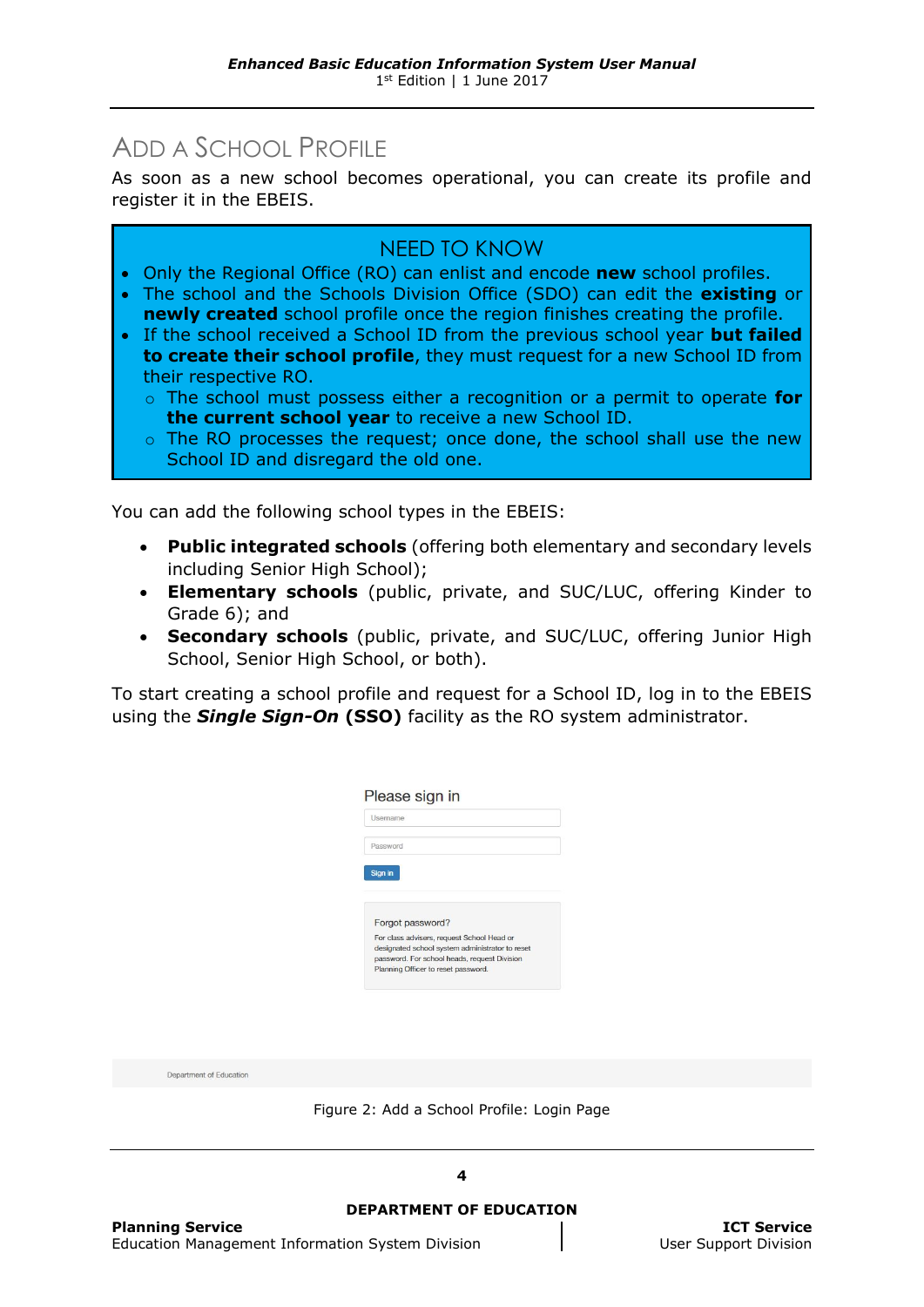## ADD A SCHOOL PROFILE

As soon as a new school becomes operational, you can create its profile and register it in the EBEIS.

### NEED TO KNOW

- Only the Regional Office (RO) can enlist and encode **new** school profiles.
- The school and the Schools Division Office (SDO) can edit the **existing** or **newly created** school profile once the region finishes creating the profile.
- If the school received a School ID from the previous school year **but failed to create their school profile**, they must request for a new School ID from their respective RO.
	- o The school must possess either a recognition or a permit to operate **for the current school year** to receive a new School ID.
	- o The RO processes the request; once done, the school shall use the new School ID and disregard the old one.

You can add the following school types in the EBEIS:

- **Public integrated schools** (offering both elementary and secondary levels including Senior High School);
- **Elementary schools** (public, private, and SUC/LUC, offering Kinder to Grade 6); and
- **Secondary schools** (public, private, and SUC/LUC, offering Junior High School, Senior High School, or both).

To start creating a school profile and request for a School ID, log in to the EBEIS using the *Single Sign-On* **(SSO)** facility as the RO system administrator.

| Usemame          |                                                                                                 |
|------------------|-------------------------------------------------------------------------------------------------|
| Password         |                                                                                                 |
| Sign in          |                                                                                                 |
|                  |                                                                                                 |
|                  |                                                                                                 |
|                  |                                                                                                 |
| Forgot password? |                                                                                                 |
|                  | For class advisers, request School Head or                                                      |
|                  | designated school system administrator to reset<br>password. For school heads, request Division |

Department of Education

Figure 2: Add a School Profile: Login Page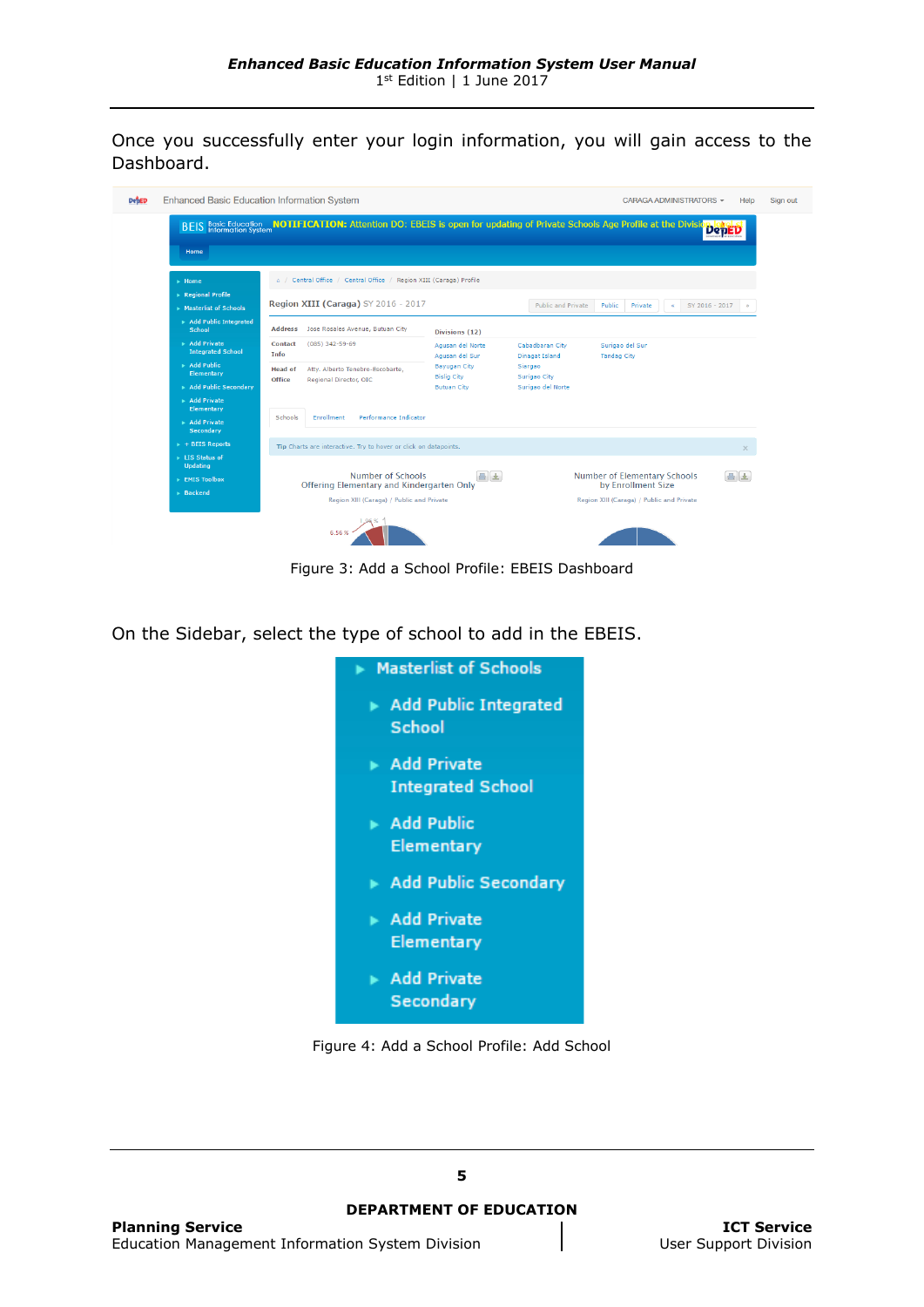Once you successfully enter your login information, you will gain access to the Dashboard.

| <b>DebED</b>                                                |                                                                                                                                                                | <b>Enhanced Basic Education Information System</b>                                            |                                           |                                                                            | CARAGA ADMINISTRATORS -                               | Help     |
|-------------------------------------------------------------|----------------------------------------------------------------------------------------------------------------------------------------------------------------|-----------------------------------------------------------------------------------------------|-------------------------------------------|----------------------------------------------------------------------------|-------------------------------------------------------|----------|
|                                                             | Basic Education <b>NOTIFICATION:</b> Attention DO: EBEIS is open for updating of Private Schools Age Profile at the Division Information System<br><b>BEIS</b> |                                                                                               |                                           |                                                                            | Deti                                                  |          |
| Home                                                        |                                                                                                                                                                |                                                                                               |                                           |                                                                            |                                                       |          |
|                                                             | $\blacktriangleright$ Home                                                                                                                                     | A / Central Office / Central Office / Region XIII (Caraga) Profile                            |                                           |                                                                            |                                                       |          |
|                                                             | Regional Profile<br>$\triangleright$ Masterlist of Schools                                                                                                     | Region XIII (Caraga) SY 2016 - 2017                                                           |                                           | <b>Public and Private</b>                                                  | Private<br>SY 2016 - 2017<br>Public<br>$\ll$<br>$\gg$ |          |
|                                                             | Add Public Integrated<br>School                                                                                                                                | Jose Rosales Avenue, Butuan City<br><b>Address</b>                                            | Divisions (12)                            |                                                                            |                                                       |          |
|                                                             | <b>Add Private</b><br><b>Integrated School</b>                                                                                                                 | $(085)$ 342-59-69<br><b>Contact</b><br>Info                                                   | Agusan del Norte<br>Agusan del Sur        | Cabadbaran City<br><b>Dinagat Island</b>                                   | Surigao del Sur<br><b>Tandag City</b>                 |          |
|                                                             | Add Public<br>Elementary                                                                                                                                       | Atty, Alberto Tenebro-Escobarte,<br><b>Head of</b><br><b>Office</b><br>Regional Director, OIC | <b>Bayugan City</b><br><b>Bislig City</b> | Siargao<br>Surigao City                                                    |                                                       |          |
|                                                             | Add Public Secondary<br>$\triangleright$ Add Private                                                                                                           |                                                                                               | <b>Butuan City</b>                        | Surigao del Norte                                                          |                                                       |          |
|                                                             | Elementary<br><b>Performance Indicator</b><br>Enrollment<br>Schools<br>Add Private<br>Secondary                                                                |                                                                                               |                                           |                                                                            |                                                       |          |
|                                                             | $\triangleright$ + BEIS Reports                                                                                                                                | Tip Charts are interactive. Try to hover or click on datapoints.                              |                                           |                                                                            |                                                       | $\times$ |
|                                                             | ▶ LIS Status of<br><b>Updating</b>                                                                                                                             |                                                                                               |                                           |                                                                            |                                                       |          |
|                                                             | Number of Schools<br>昌土<br>$\triangleright$ EMIS Toolbox<br>Offering Elementary and Kindergarten Only                                                          |                                                                                               |                                           | <b>Number of Elementary Schools</b><br>$\Rightarrow$<br>by Enrollment Size |                                                       |          |
| <b>Backend</b><br>Region XIII (Caraga) / Public and Private |                                                                                                                                                                |                                                                                               | Region XIII (Caraga) / Public and Private |                                                                            |                                                       |          |
|                                                             |                                                                                                                                                                | 6.56%                                                                                         |                                           |                                                                            |                                                       |          |

Figure 3: Add a School Profile: EBEIS Dashboard

On the Sidebar, select the type of school to add in the EBEIS.

| ▶ Masterlist of Schools                                  |
|----------------------------------------------------------|
| Add Public Integrated<br>School                          |
| $\triangleright$ Add Private<br><b>Integrated School</b> |
| $\blacktriangleright$ Add Public<br><b>Elementary</b>    |
| Add Public Secondary                                     |
| Add Private<br>Elementary                                |
| Add Private<br>Secondary                                 |

Figure 4: Add a School Profile: Add School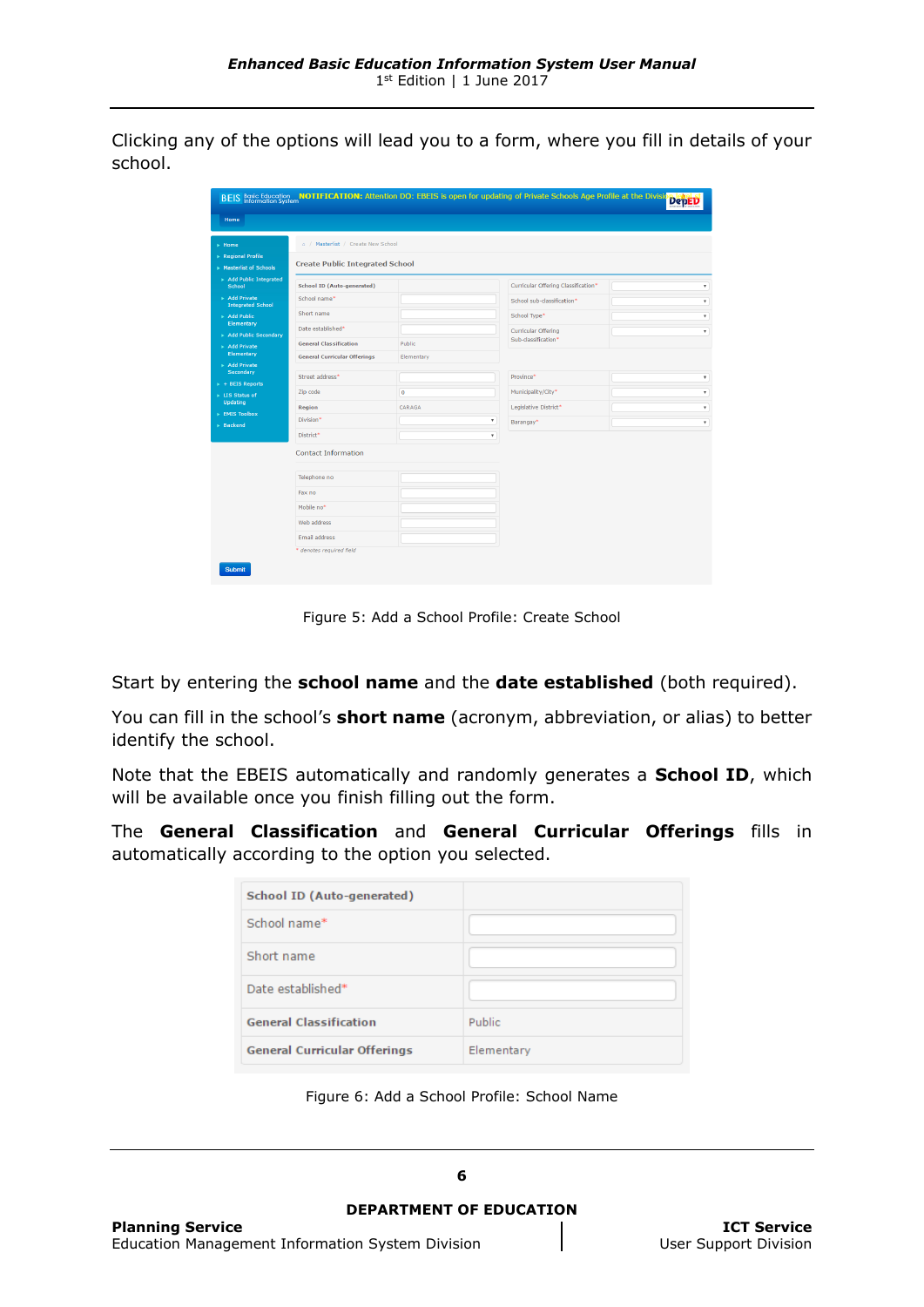Clicking any of the options will lead you to a form, where you fill in details of your school.

|                                                                                          |                                                                              |                           | BEIS Basic Education NOTIFICATION: Attention DO: EBEIS is open for updating of Private Schools Age Profile at the Division | <b>DepE</b>               |
|------------------------------------------------------------------------------------------|------------------------------------------------------------------------------|---------------------------|----------------------------------------------------------------------------------------------------------------------------|---------------------------|
| Home                                                                                     |                                                                              |                           |                                                                                                                            |                           |
| $\blacktriangleright$ Home<br>Regional Profile<br>$\triangleright$ Masterlist of Schools | a / Masterlist / Create New School<br><b>Create Public Integrated School</b> |                           |                                                                                                                            |                           |
| Add Public Integrated<br>School                                                          | <b>School ID (Auto-generated)</b>                                            |                           | Curricular Offering Classification*                                                                                        | $\boldsymbol{\mathrm{v}}$ |
| Add Private<br><b>Integrated School</b>                                                  | School name*                                                                 |                           | School sub-classification*                                                                                                 | $\boldsymbol{\mathrm{v}}$ |
| > Add Public<br>Elementary                                                               | Short name                                                                   |                           | School Type*                                                                                                               | $\boldsymbol{\mathrm{v}}$ |
| Add Public Secondary                                                                     | Date established*<br><b>General Classification</b>                           | Public                    | Curricular Offering<br>Sub-classification*                                                                                 | $\boldsymbol{\mathrm{v}}$ |
| > Add Private<br>Elementary                                                              | <b>General Curricular Offerings</b>                                          | Elementary                |                                                                                                                            |                           |
| > Add Private<br>Secondary                                                               |                                                                              |                           |                                                                                                                            |                           |
| $\triangleright$ + BEIS Reports                                                          | Street address*                                                              |                           | Province*                                                                                                                  | $\boldsymbol{\mathrm{v}}$ |
| Els Status of<br><b>Updating</b>                                                         | Zip code                                                                     | $\overline{0}$            | Municipality/City*                                                                                                         | $\boldsymbol{\mathrm{v}}$ |
| EMIS Toolbox                                                                             | <b>Region</b>                                                                | CARAGA                    | Legislative District*                                                                                                      | $\boldsymbol{\mathrm{v}}$ |
| > Backend                                                                                | Division*                                                                    | $\boldsymbol{\mathrm{v}}$ | Barangay*                                                                                                                  | $\boldsymbol{\mathrm{v}}$ |
|                                                                                          | District <sup>*</sup>                                                        | $\boldsymbol{\mathrm{v}}$ |                                                                                                                            |                           |
|                                                                                          | <b>Contact Information</b>                                                   |                           |                                                                                                                            |                           |
|                                                                                          | Telephone no                                                                 |                           |                                                                                                                            |                           |
|                                                                                          | Fax no                                                                       |                           |                                                                                                                            |                           |
|                                                                                          | Mobile no*                                                                   |                           |                                                                                                                            |                           |
|                                                                                          | Web address                                                                  |                           |                                                                                                                            |                           |
|                                                                                          | <b>Email address</b>                                                         |                           |                                                                                                                            |                           |
|                                                                                          | * denotes required field                                                     |                           |                                                                                                                            |                           |
| <b>Submit</b>                                                                            |                                                                              |                           |                                                                                                                            |                           |

Figure 5: Add a School Profile: Create School

Start by entering the **school name** and the **date established** (both required).

You can fill in the school's **short name** (acronym, abbreviation, or alias) to better identify the school.

Note that the EBEIS automatically and randomly generates a **School ID**, which will be available once you finish filling out the form.

The **General Classification** and **General Curricular Offerings** fills in automatically according to the option you selected.

| <b>School ID (Auto-generated)</b>   |               |
|-------------------------------------|---------------|
| School name*                        |               |
| Short name                          |               |
| Date established*                   |               |
| <b>General Classification</b>       | <b>Public</b> |
| <b>General Curricular Offerings</b> | Elementary    |

Figure 6: Add a School Profile: School Name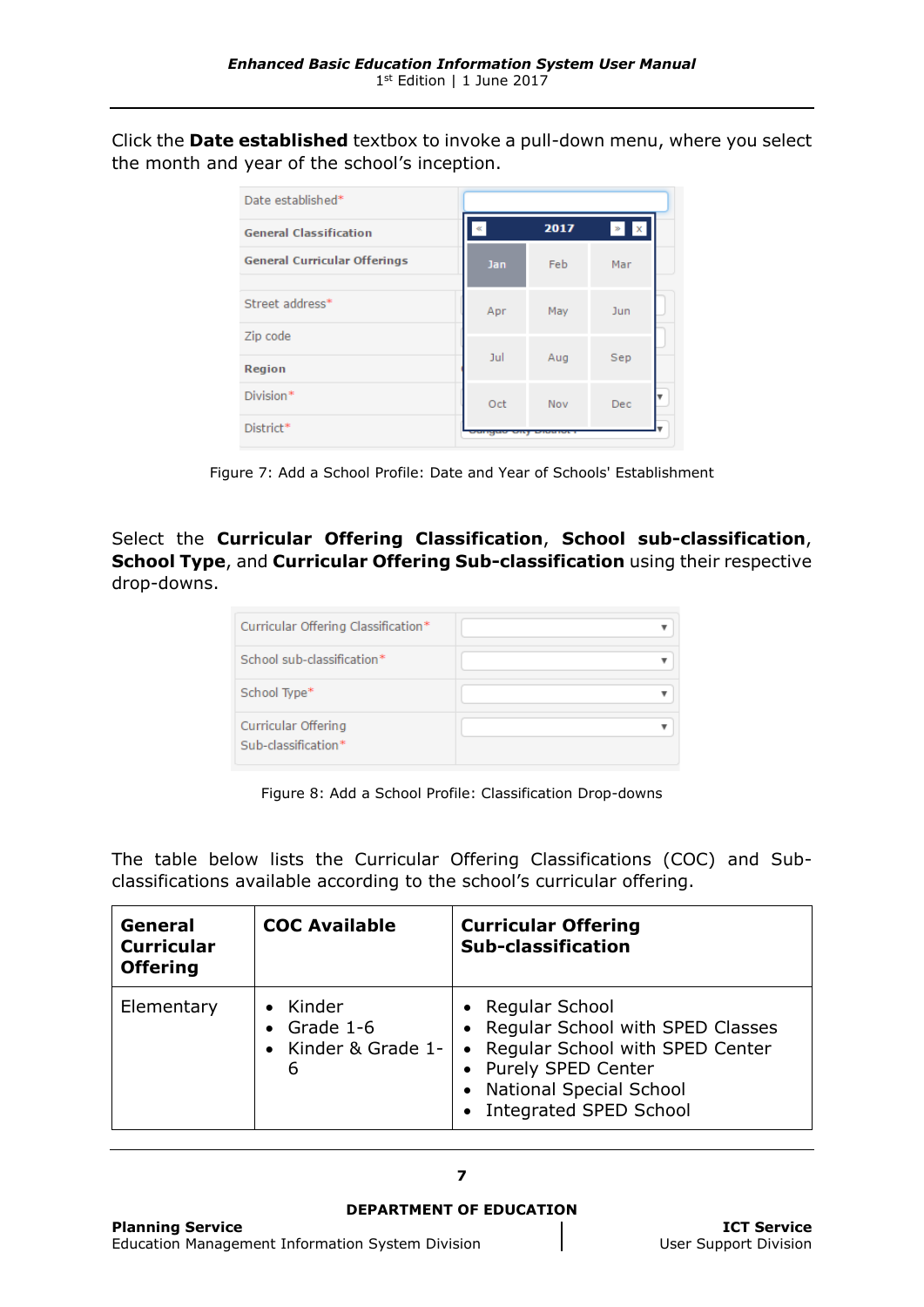Click the **Date established** textbox to invoke a pull-down menu, where you select the month and year of the school's inception.

| Date established*                   |     |      |              |  |
|-------------------------------------|-----|------|--------------|--|
| <b>General Classification</b>       |     | 2017 | $\mathbf{X}$ |  |
| <b>General Curricular Offerings</b> | Jan | Feb  | Mar          |  |
| Street address*                     | Apr | May  | Jun          |  |
| Zip code<br>Region                  | Jul | Aug  | Sep          |  |
| Division*                           | Oct | Nov  | Dec          |  |
| District*                           |     |      |              |  |

Figure 7: Add a School Profile: Date and Year of Schools' Establishment

Select the **Curricular Offering Classification**, **School sub-classification**, **School Type**, and **Curricular Offering Sub-classification** using their respective drop-downs.

| Curricular Offering Classification*        |  |
|--------------------------------------------|--|
| School sub-classification*                 |  |
| School Type*                               |  |
| Curricular Offering<br>Sub-classification* |  |

Figure 8: Add a School Profile: Classification Drop-downs

The table below lists the Curricular Offering Classifications (COC) and Subclassifications available according to the school's curricular offering.

| General<br><b>Curricular</b><br><b>Offering</b> | <b>COC Available</b>                          | <b>Curricular Offering</b><br>Sub-classification                                                                                                                                |
|-------------------------------------------------|-----------------------------------------------|---------------------------------------------------------------------------------------------------------------------------------------------------------------------------------|
| Elementary                                      | Kinder<br>Grade 1-6<br>Kinder & Grade 1-<br>6 | • Regular School<br>• Regular School with SPED Classes<br>Regular School with SPED Center<br>• Purely SPED Center<br>• National Special School<br><b>Integrated SPED School</b> |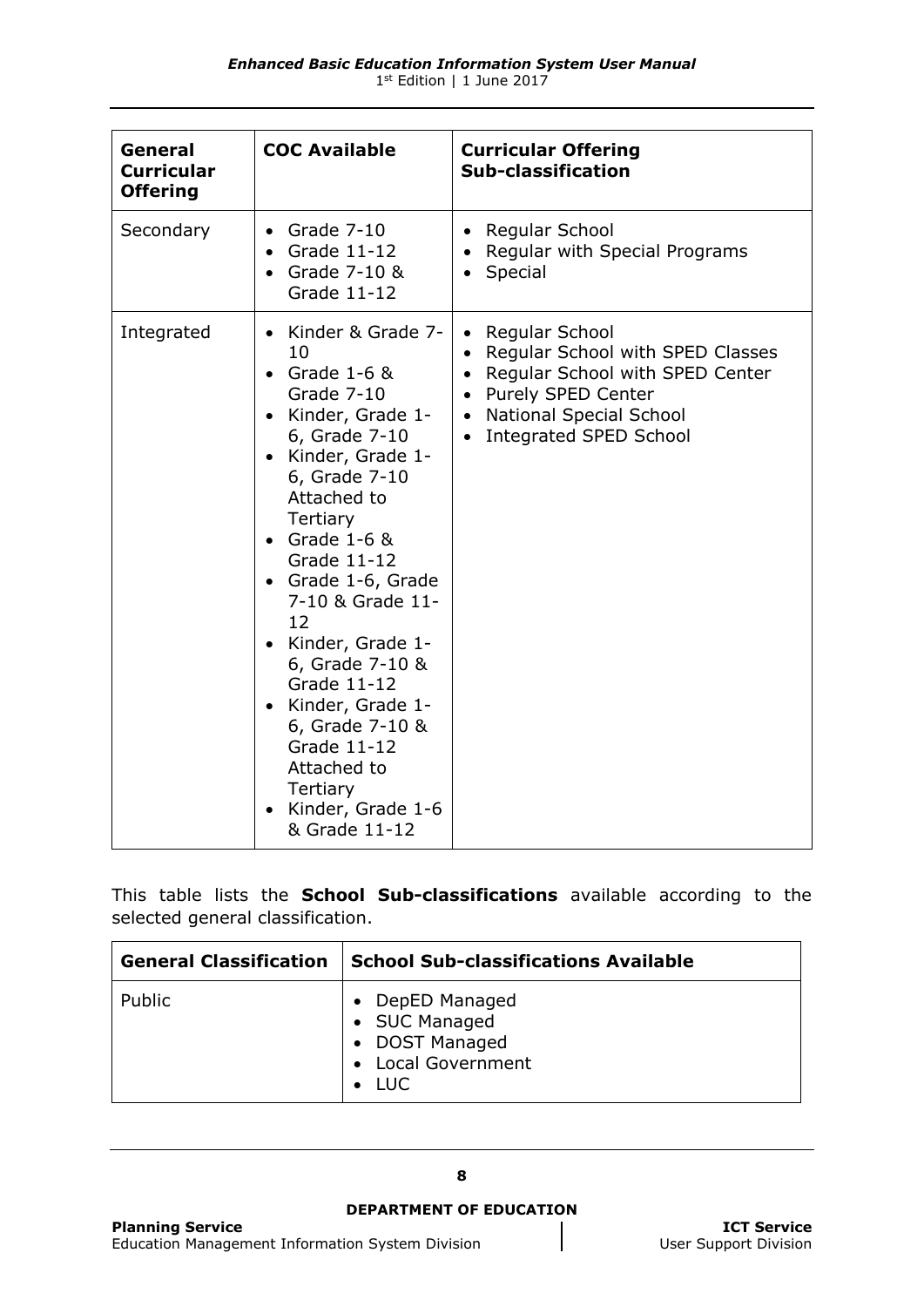| General<br><b>Curricular</b><br><b>Offering</b> | <b>COC Available</b>                                                                                                                                                                                                                                                                                                                                                                                                                        | <b>Curricular Offering</b><br><b>Sub-classification</b>                                                                                                                                                                                    |
|-------------------------------------------------|---------------------------------------------------------------------------------------------------------------------------------------------------------------------------------------------------------------------------------------------------------------------------------------------------------------------------------------------------------------------------------------------------------------------------------------------|--------------------------------------------------------------------------------------------------------------------------------------------------------------------------------------------------------------------------------------------|
| Secondary                                       | Grade 7-10<br>$\bullet$<br>Grade 11-12<br>Grade 7-10 &<br>Grade 11-12                                                                                                                                                                                                                                                                                                                                                                       | Regular School<br>Regular with Special Programs<br>Special                                                                                                                                                                                 |
| Integrated                                      | • Kinder & Grade 7-<br>10<br>• Grade $1-6$ &<br>Grade 7-10<br>Kinder, Grade 1-<br>6, Grade 7-10<br>• Kinder, Grade 1-<br>6, Grade 7-10<br>Attached to<br>Tertiary<br>Grade 1-6 &<br>Grade 11-12<br>• Grade 1-6, Grade<br>7-10 & Grade 11-<br>12<br>• Kinder, Grade 1-<br>6, Grade 7-10 &<br>Grade 11-12<br>Kinder, Grade 1-<br>$\bullet$<br>6, Grade 7-10 &<br>Grade 11-12<br>Attached to<br>Tertiary<br>Kinder, Grade 1-6<br>& Grade 11-12 | Regular School<br>$\bullet$<br>Regular School with SPED Classes<br>$\bullet$<br>Regular School with SPED Center<br>$\bullet$<br>• Purely SPED Center<br><b>National Special School</b><br>$\bullet$<br>Integrated SPED School<br>$\bullet$ |

This table lists the **School Sub-classifications** available according to the selected general classification.

| <b>General Classification</b> | <b>School Sub-classifications Available</b>                                        |
|-------------------------------|------------------------------------------------------------------------------------|
| Public                        | DepED Managed<br>• SUC Managed<br>• DOST Managed<br>Local Government<br><b>LUC</b> |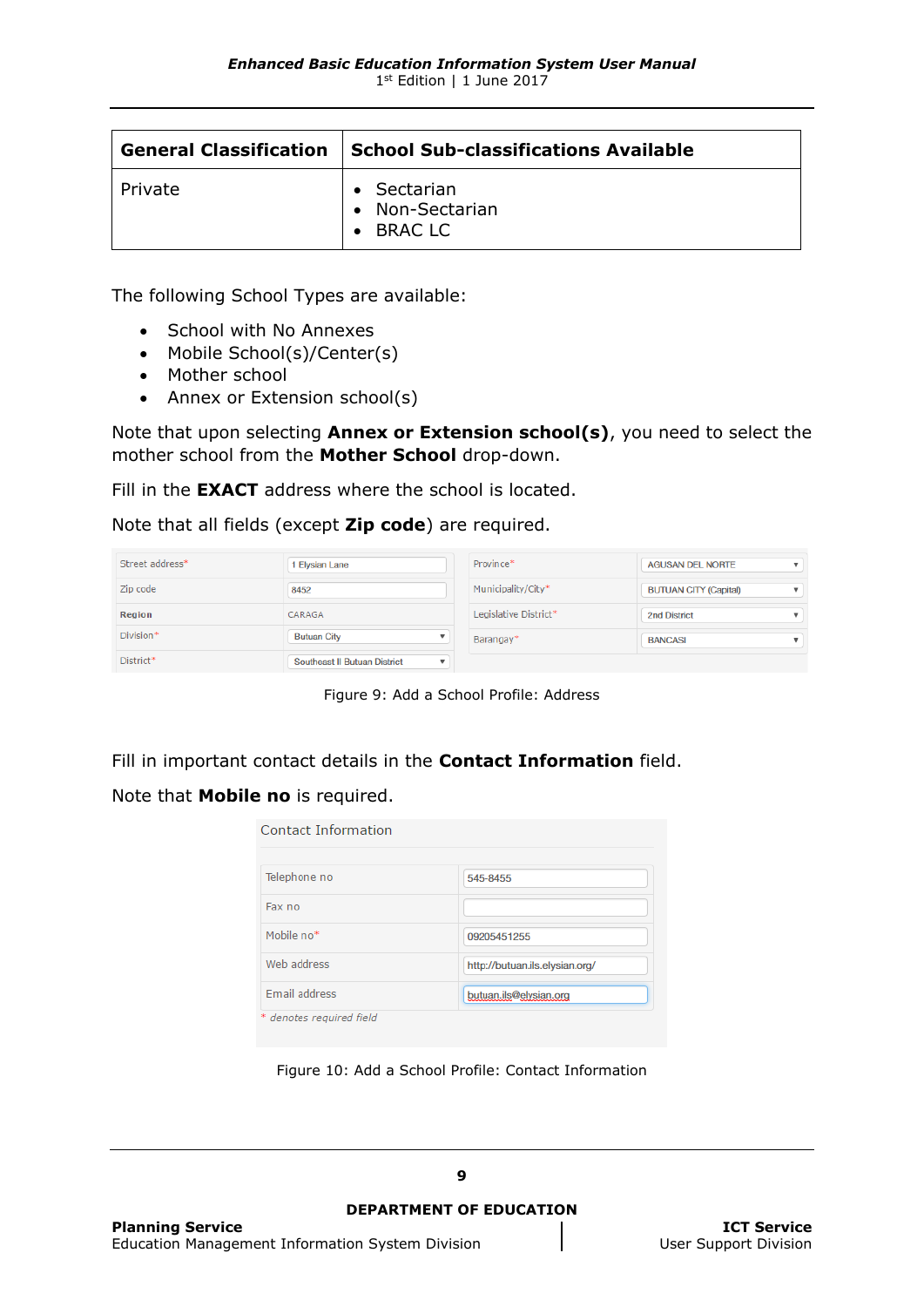|         | General Classification   School Sub-classifications Available |
|---------|---------------------------------------------------------------|
| Private | • Sectarian<br>• Non-Sectarian<br>BRAC LC                     |

The following School Types are available:

- School with No Annexes
- Mobile School(s)/Center(s)
- Mother school
- Annex or Extension school(s)

Note that upon selecting **Annex or Extension school(s)**, you need to select the mother school from the **Mother School** drop-down.

Fill in the **EXACT** address where the school is located.

Note that all fields (except **Zip code**) are required.

| Street address* | 1 Elysian Lane                      | Province*             | <b>AGUSAN DEL NORTE</b>      |
|-----------------|-------------------------------------|-----------------------|------------------------------|
| Zip code        | 8452                                | Municipality/City*    | <b>BUTUAN CITY (Capital)</b> |
| Region          | CARAGA                              | Legislative District* | 2nd District                 |
| Division*       | <b>Butuan City</b>                  | Barangay*             | <b>BANCASI</b>               |
| District*       | <b>Southeast II Butuan District</b> |                       |                              |

Figure 9: Add a School Profile: Address

Fill in important contact details in the **Contact Information** field.

#### Note that **Mobile no** is required.

| Contact Information            |  |
|--------------------------------|--|
| 545-8455                       |  |
|                                |  |
| 09205451255                    |  |
| http://butuan.ils.elysian.org/ |  |
| butuan.ils@elysian.org         |  |
|                                |  |

Figure 10: Add a School Profile: Contact Information